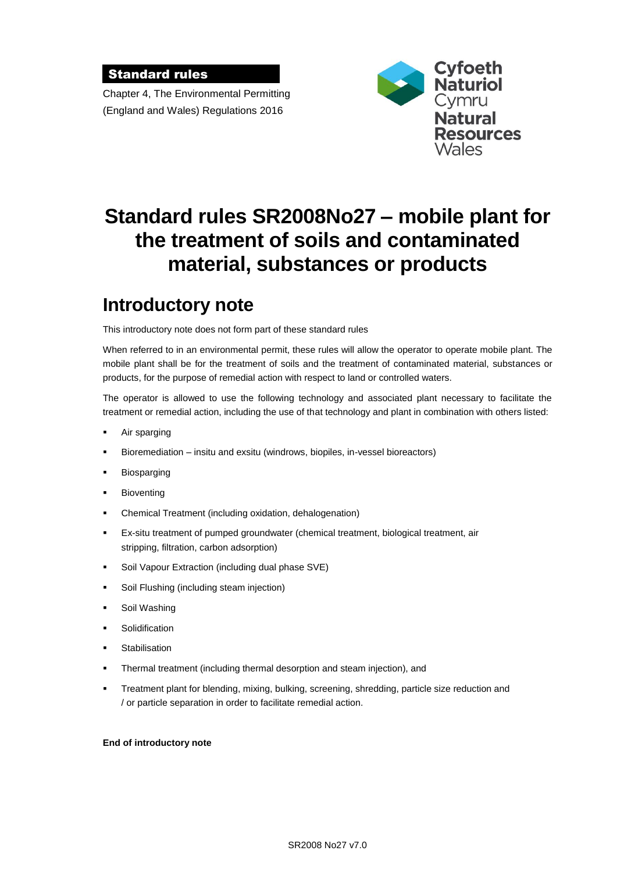### Standard rules

Chapter 4, The Environmental Permitting (England and Wales) Regulations 2016



# **Standard rules SR2008No27 – mobile plant for the treatment of soils and contaminated material, substances or products**

# **Introductory note**

This introductory note does not form part of these standard rules

When referred to in an environmental permit, these rules will allow the operator to operate mobile plant. The mobile plant shall be for the treatment of soils and the treatment of contaminated material, substances or products, for the purpose of remedial action with respect to land or controlled waters.

The operator is allowed to use the following technology and associated plant necessary to facilitate the treatment or remedial action, including the use of that technology and plant in combination with others listed:

- Air sparging
- Bioremediation insitu and exsitu (windrows, biopiles, in-vessel bioreactors)
- Biosparging
- Bioventing
- Chemical Treatment (including oxidation, dehalogenation)
- Ex-situ treatment of pumped groundwater (chemical treatment, biological treatment, air stripping, filtration, carbon adsorption)
- Soil Vapour Extraction (including dual phase SVE)
- Soil Flushing (including steam injection)
- Soil Washing
- Solidification
- **Stabilisation**
- Thermal treatment (including thermal desorption and steam injection), and
- Treatment plant for blending, mixing, bulking, screening, shredding, particle size reduction and / or particle separation in order to facilitate remedial action.

#### **End of introductory note**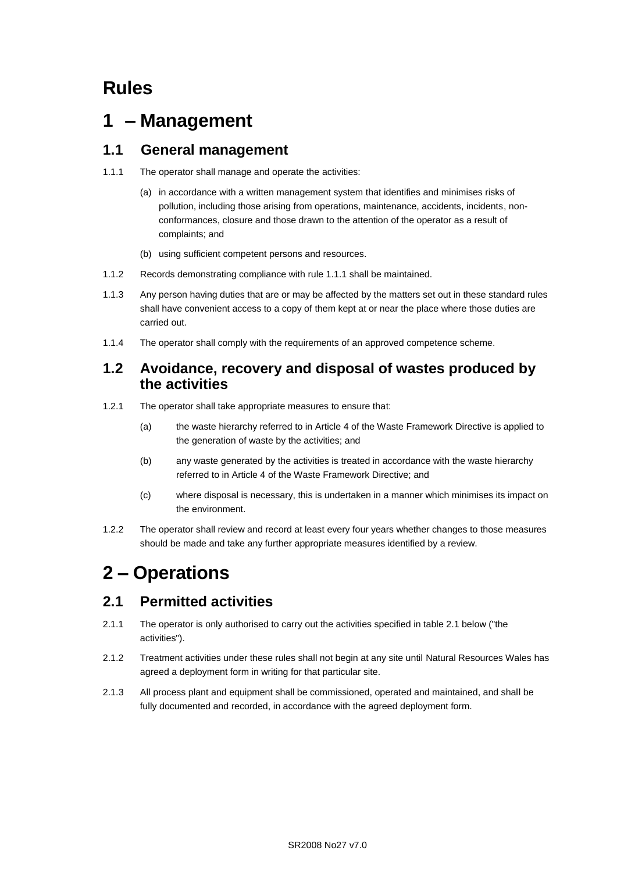## **Rules**

# **1 – Management**

### **1.1 General management**

- 1.1.1 The operator shall manage and operate the activities:
	- (a) in accordance with a written management system that identifies and minimises risks of pollution, including those arising from operations, maintenance, accidents, incidents, nonconformances, closure and those drawn to the attention of the operator as a result of complaints; and
	- (b) using sufficient competent persons and resources.
- 1.1.2 Records demonstrating compliance with rule 1.1.1 shall be maintained.
- 1.1.3 Any person having duties that are or may be affected by the matters set out in these standard rules shall have convenient access to a copy of them kept at or near the place where those duties are carried out.
- 1.1.4 The operator shall comply with the requirements of an approved competence scheme.

### **1.2 Avoidance, recovery and disposal of wastes produced by the activities**

- 1.2.1 The operator shall take appropriate measures to ensure that:
	- (a) the waste hierarchy referred to in Article 4 of the Waste Framework Directive is applied to the generation of waste by the activities; and
	- (b) any waste generated by the activities is treated in accordance with the waste hierarchy referred to in Article 4 of the Waste Framework Directive; and
	- (c) where disposal is necessary, this is undertaken in a manner which minimises its impact on the environment.
- 1.2.2 The operator shall review and record at least every four years whether changes to those measures should be made and take any further appropriate measures identified by a review.

## **2 – Operations**

## **2.1 Permitted activities**

- 2.1.1 The operator is only authorised to carry out the activities specified in table 2.1 below ("the activities").
- 2.1.2 Treatment activities under these rules shall not begin at any site until Natural Resources Wales has agreed a deployment form in writing for that particular site.
- 2.1.3 All process plant and equipment shall be commissioned, operated and maintained, and shall be fully documented and recorded, in accordance with the agreed deployment form.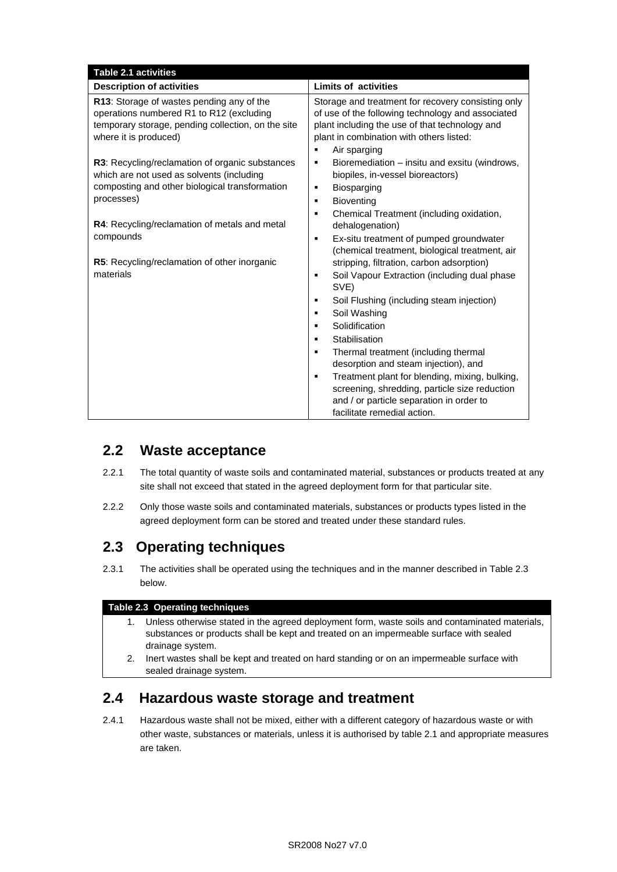| <b>Limits of activities</b>                                                                                                                                                                                                                                                                                                                                           |
|-----------------------------------------------------------------------------------------------------------------------------------------------------------------------------------------------------------------------------------------------------------------------------------------------------------------------------------------------------------------------|
| Storage and treatment for recovery consisting only<br>of use of the following technology and associated<br>plant including the use of that technology and<br>plant in combination with others listed:                                                                                                                                                                 |
| Bioremediation - insitu and exsitu (windrows,<br>biopiles, in-vessel bioreactors)<br>Chemical Treatment (including oxidation,                                                                                                                                                                                                                                         |
| dehalogenation)<br>Ex-situ treatment of pumped groundwater<br>(chemical treatment, biological treatment, air                                                                                                                                                                                                                                                          |
| stripping, filtration, carbon adsorption)<br>Soil Vapour Extraction (including dual phase<br>Soil Flushing (including steam injection)<br>Thermal treatment (including thermal<br>desorption and steam injection), and<br>Treatment plant for blending, mixing, bulking,<br>screening, shredding, particle size reduction<br>and / or particle separation in order to |
| facilitate remedial action.                                                                                                                                                                                                                                                                                                                                           |

## **2.2 Waste acceptance**

- 2.2.1 The total quantity of waste soils and contaminated material, substances or products treated at any site shall not exceed that stated in the agreed deployment form for that particular site.
- 2.2.2 Only those waste soils and contaminated materials, substances or products types listed in the agreed deployment form can be stored and treated under these standard rules.

### **2.3 Operating techniques**

2.3.1 The activities shall be operated using the techniques and in the manner described in Table 2.3 below.

### **Table 2.3 Operating techniques**

- 1. Unless otherwise stated in the agreed deployment form, waste soils and contaminated materials, substances or products shall be kept and treated on an impermeable surface with sealed drainage system.
- 2. Inert wastes shall be kept and treated on hard standing or on an impermeable surface with sealed drainage system.

### **2.4 Hazardous waste storage and treatment**

2.4.1 Hazardous waste shall not be mixed, either with a different category of hazardous waste or with other waste, substances or materials, unless it is authorised by table 2.1 and appropriate measures are taken.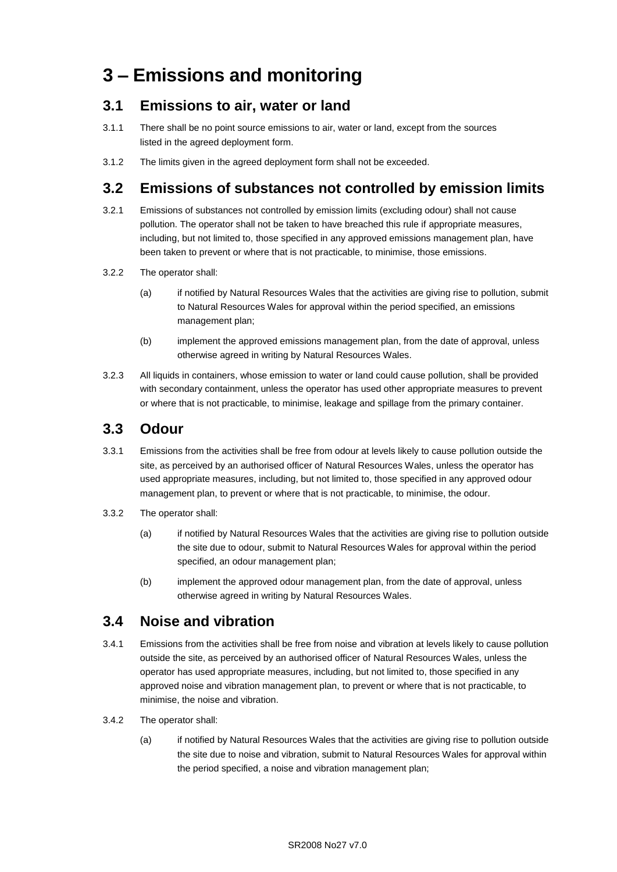# **3 – Emissions and monitoring**

### **3.1 Emissions to air, water or land**

- 3.1.1 There shall be no point source emissions to air, water or land, except from the sources listed in the agreed deployment form.
- 3.1.2 The limits given in the agreed deployment form shall not be exceeded.

## **3.2 Emissions of substances not controlled by emission limits**

- 3.2.1 Emissions of substances not controlled by emission limits (excluding odour) shall not cause pollution. The operator shall not be taken to have breached this rule if appropriate measures, including, but not limited to, those specified in any approved emissions management plan, have been taken to prevent or where that is not practicable, to minimise, those emissions.
- 3.2.2 The operator shall:
	- (a) if notified by Natural Resources Wales that the activities are giving rise to pollution, submit to Natural Resources Wales for approval within the period specified, an emissions management plan;
	- (b) implement the approved emissions management plan, from the date of approval, unless otherwise agreed in writing by Natural Resources Wales.
- 3.2.3 All liquids in containers, whose emission to water or land could cause pollution, shall be provided with secondary containment, unless the operator has used other appropriate measures to prevent or where that is not practicable, to minimise, leakage and spillage from the primary container.

### **3.3 Odour**

- 3.3.1 Emissions from the activities shall be free from odour at levels likely to cause pollution outside the site, as perceived by an authorised officer of Natural Resources Wales, unless the operator has used appropriate measures, including, but not limited to, those specified in any approved odour management plan, to prevent or where that is not practicable, to minimise, the odour.
- 3.3.2 The operator shall:
	- (a) if notified by Natural Resources Wales that the activities are giving rise to pollution outside the site due to odour, submit to Natural Resources Wales for approval within the period specified, an odour management plan;
	- (b) implement the approved odour management plan, from the date of approval, unless otherwise agreed in writing by Natural Resources Wales.

### **3.4 Noise and vibration**

- 3.4.1 Emissions from the activities shall be free from noise and vibration at levels likely to cause pollution outside the site, as perceived by an authorised officer of Natural Resources Wales, unless the operator has used appropriate measures, including, but not limited to, those specified in any approved noise and vibration management plan, to prevent or where that is not practicable, to minimise, the noise and vibration.
- 3.4.2 The operator shall:
	- (a) if notified by Natural Resources Wales that the activities are giving rise to pollution outside the site due to noise and vibration, submit to Natural Resources Wales for approval within the period specified, a noise and vibration management plan;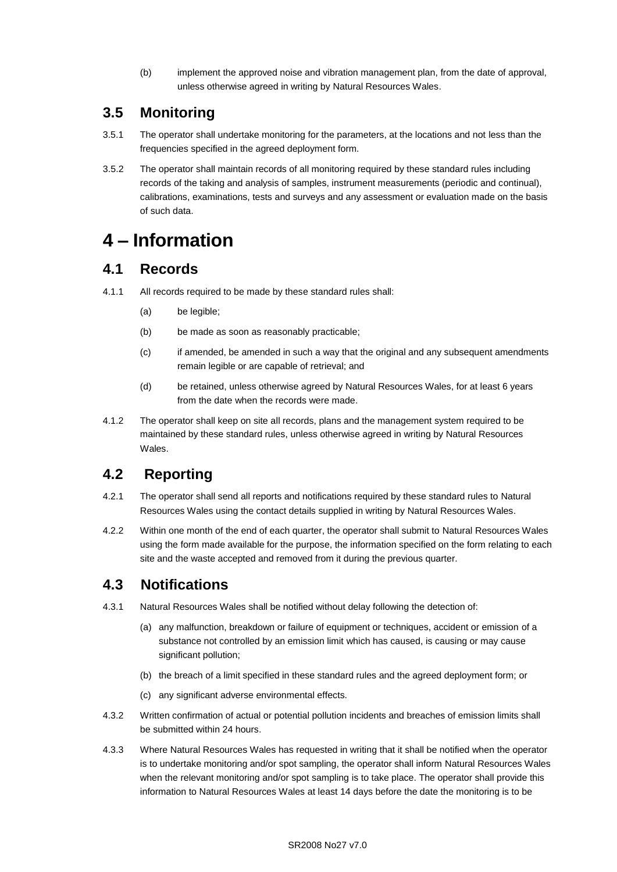(b) implement the approved noise and vibration management plan, from the date of approval, unless otherwise agreed in writing by Natural Resources Wales.

### **3.5 Monitoring**

- 3.5.1 The operator shall undertake monitoring for the parameters, at the locations and not less than the frequencies specified in the agreed deployment form.
- 3.5.2 The operator shall maintain records of all monitoring required by these standard rules including records of the taking and analysis of samples, instrument measurements (periodic and continual), calibrations, examinations, tests and surveys and any assessment or evaluation made on the basis of such data.

## **4 – Information**

### **4.1 Records**

- 4.1.1 All records required to be made by these standard rules shall:
	- (a) be legible;
	- (b) be made as soon as reasonably practicable;
	- (c) if amended, be amended in such a way that the original and any subsequent amendments remain legible or are capable of retrieval; and
	- (d) be retained, unless otherwise agreed by Natural Resources Wales, for at least 6 years from the date when the records were made.
- 4.1.2 The operator shall keep on site all records, plans and the management system required to be maintained by these standard rules, unless otherwise agreed in writing by Natural Resources Wales.

## **4.2 Reporting**

- 4.2.1 The operator shall send all reports and notifications required by these standard rules to Natural Resources Wales using the contact details supplied in writing by Natural Resources Wales.
- 4.2.2 Within one month of the end of each quarter, the operator shall submit to Natural Resources Wales using the form made available for the purpose, the information specified on the form relating to each site and the waste accepted and removed from it during the previous quarter.

### **4.3 Notifications**

- 4.3.1 Natural Resources Wales shall be notified without delay following the detection of:
	- (a) any malfunction, breakdown or failure of equipment or techniques, accident or emission of a substance not controlled by an emission limit which has caused, is causing or may cause significant pollution;
	- (b) the breach of a limit specified in these standard rules and the agreed deployment form; or
	- (c) any significant adverse environmental effects.
- 4.3.2 Written confirmation of actual or potential pollution incidents and breaches of emission limits shall be submitted within 24 hours.
- 4.3.3 Where Natural Resources Wales has requested in writing that it shall be notified when the operator is to undertake monitoring and/or spot sampling, the operator shall inform Natural Resources Wales when the relevant monitoring and/or spot sampling is to take place. The operator shall provide this information to Natural Resources Wales at least 14 days before the date the monitoring is to be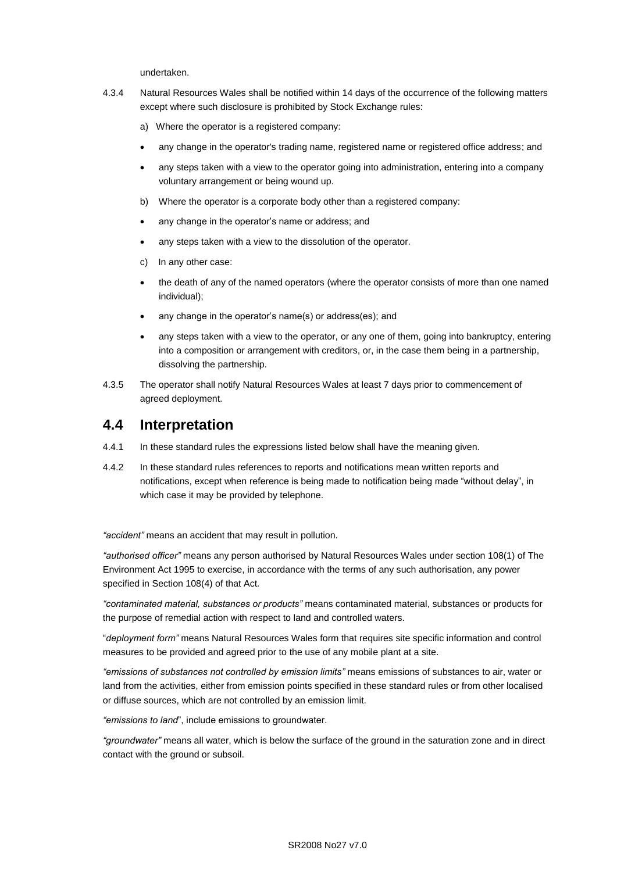undertaken.

- 4.3.4 Natural Resources Wales shall be notified within 14 days of the occurrence of the following matters except where such disclosure is prohibited by Stock Exchange rules:
	- a) Where the operator is a registered company:
	- any change in the operator's trading name, registered name or registered office address; and
	- any steps taken with a view to the operator going into administration, entering into a company voluntary arrangement or being wound up.
	- b) Where the operator is a corporate body other than a registered company:
	- any change in the operator's name or address; and
	- any steps taken with a view to the dissolution of the operator.
	- c) In any other case:
	- the death of any of the named operators (where the operator consists of more than one named individual);
	- any change in the operator's name(s) or address(es); and
	- any steps taken with a view to the operator, or any one of them, going into bankruptcy, entering into a composition or arrangement with creditors, or, in the case them being in a partnership, dissolving the partnership.
- 4.3.5 The operator shall notify Natural Resources Wales at least 7 days prior to commencement of agreed deployment.

### **4.4 Interpretation**

- 4.4.1 In these standard rules the expressions listed below shall have the meaning given.
- 4.4.2 In these standard rules references to reports and notifications mean written reports and notifications, except when reference is being made to notification being made "without delay", in which case it may be provided by telephone.

*"accident"* means an accident that may result in pollution.

*"authorised officer"* means any person authorised by Natural Resources Wales under section 108(1) of The Environment Act 1995 to exercise, in accordance with the terms of any such authorisation, any power specified in Section 108(4) of that Act*.*

*"contaminated material, substances or products"* means contaminated material, substances or products for the purpose of remedial action with respect to land and controlled waters.

"*deployment form"* means Natural Resources Wales form that requires site specific information and control measures to be provided and agreed prior to the use of any mobile plant at a site.

*"emissions of substances not controlled by emission limits"* means emissions of substances to air, water or land from the activities, either from emission points specified in these standard rules or from other localised or diffuse sources, which are not controlled by an emission limit.

*"emissions to land*", include emissions to groundwater.

*"groundwater"* means all water, which is below the surface of the ground in the saturation zone and in direct contact with the ground or subsoil.